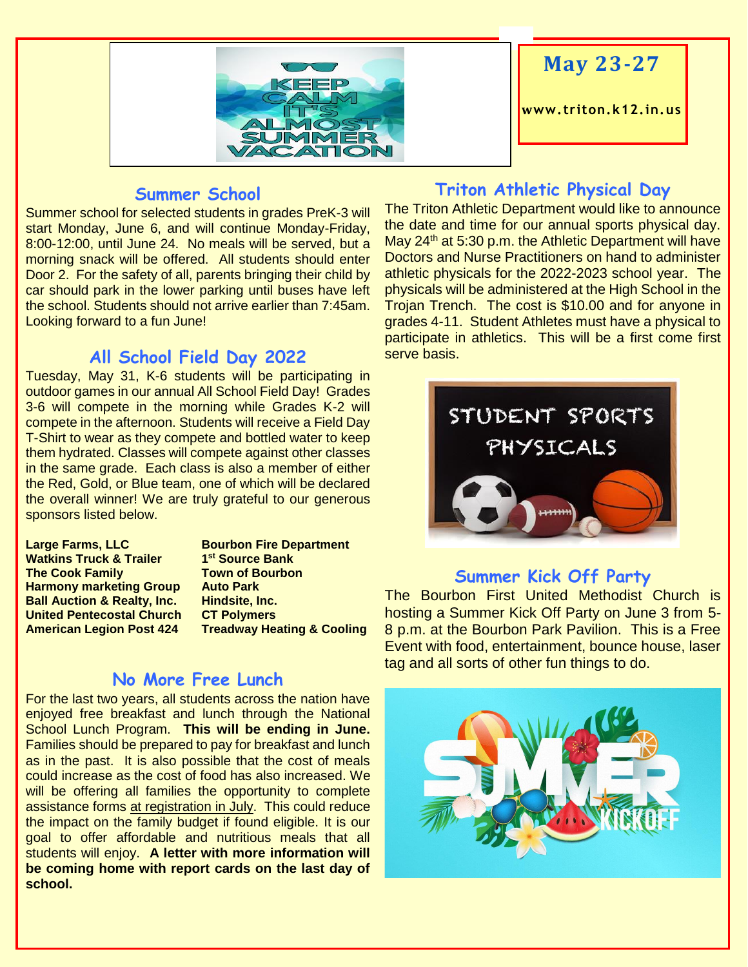

# **May 23-27**

**www. triton.k12.in.us**

#### **Summer School**

Summer school for selected students in grades PreK-3 will start Monday, June 6, and will continue Monday-Friday, 8:00-12:00, until June 24. No meals will be served, but a morning snack will be offered. All students should enter Door 2. For the safety of all, parents bringing their child by car should park in the lower parking until buses have left the school. Students should not arrive earlier than 7:45am. Looking forward to a fun June!

#### **All School Field Day 2022**

Tuesday, May 31, K-6 students will be participating in outdoor games in our annual All School Field Day! Grades 3-6 will compete in the morning while Grades K-2 will compete in the afternoon. Students will receive a Field Day T-Shirt to wear as they compete and bottled water to keep them hydrated. Classes will compete against other classes in the same grade. Each class is also a member of either the Red, Gold, or Blue team, one of which will be declared the overall winner! We are truly grateful to our generous sponsors listed below.

**Large Farms, LLC Bourbon Fire Department Watkins Truck & Trailer The Cook Family Town of Bourbon Harmony marketing Group Auto Park Ball Auction & Realty, Inc. Hindsite, Inc. United Pentecostal Church CT Polymers**

**st Source Bank American Legion Post 424 Treadway Heating & Cooling**

### **No More Free Lunch**

For the last two years, all students across the nation have enjoyed free breakfast and lunch through the National School Lunch Program. **This will be ending in June.** Families should be prepared to pay for breakfast and lunch as in the past. It is also possible that the cost of meals could increase as the cost of food has also increased. We will be offering all families the opportunity to complete assistance forms at registration in July. This could reduce the impact on the family budget if found eligible. It is our goal to offer affordable and nutritious meals that all students will enjoy. **A letter with more information will be coming home with report cards on the last day of school.**

#### **Triton Athletic Physical Day**

The Triton Athletic Department would like to announce the date and time for our annual sports physical day. May  $24<sup>th</sup>$  at 5:30 p.m. the Athletic Department will have Doctors and Nurse Practitioners on hand to administer athletic physicals for the 2022-2023 school year. The physicals will be administered at the High School in the Trojan Trench. The cost is \$10.00 and for anyone in grades 4-11. Student Athletes must have a physical to participate in athletics. This will be a first come first serve basis.



#### **Summer Kick Off Party**

The Bourbon First United Methodist Church is hosting a Summer Kick Off Party on June 3 from 5- 8 p.m. at the Bourbon Park Pavilion. This is a Free Event with food, entertainment, bounce house, laser tag and all sorts of other fun things to do.